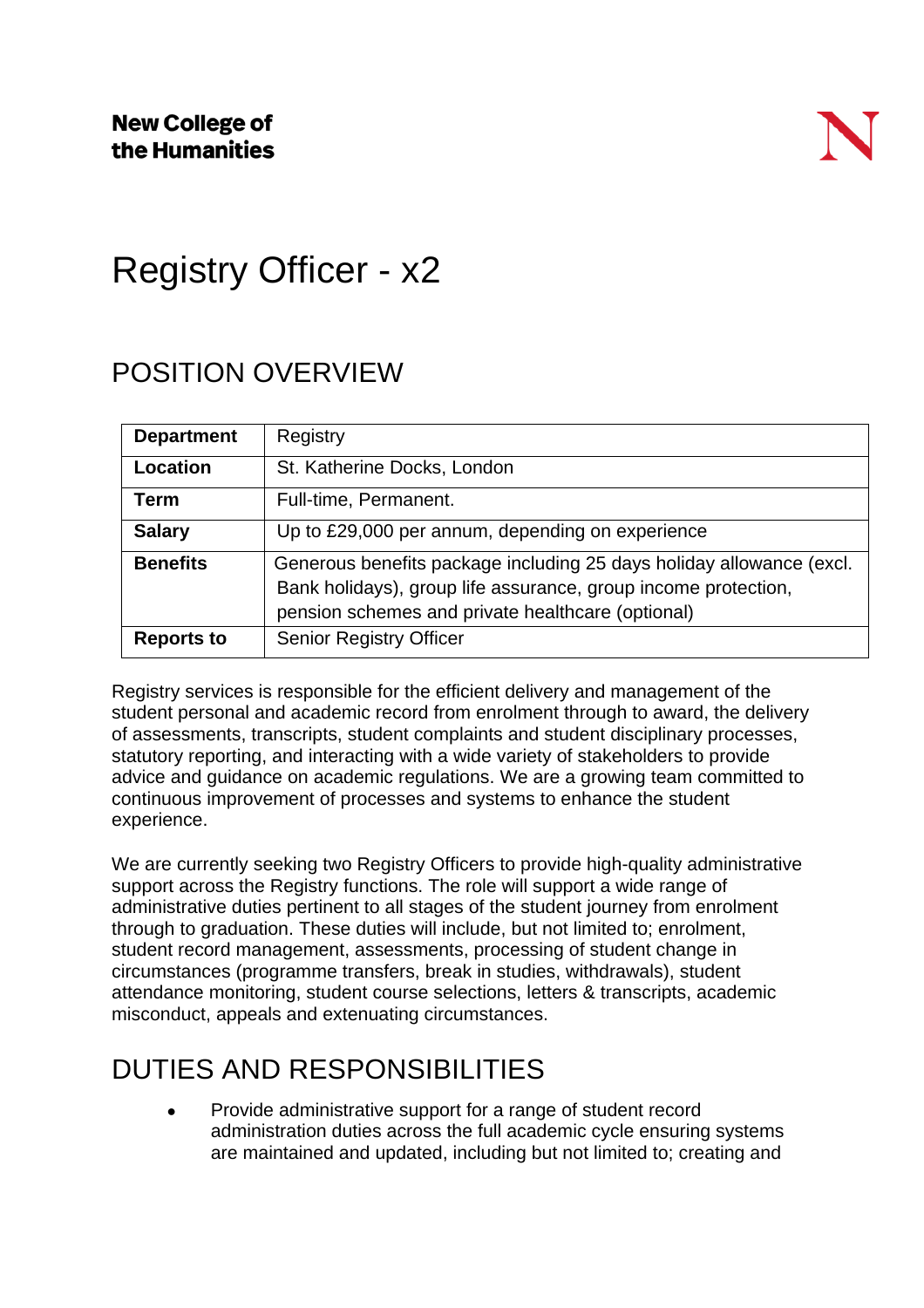# Registry Officer - x2

## POSITION OVERVIEW

| <b>Department</b> | Registry                                                                                                                                                                                    |
|-------------------|---------------------------------------------------------------------------------------------------------------------------------------------------------------------------------------------|
| Location          | St. Katherine Docks, London                                                                                                                                                                 |
| Term              | Full-time, Permanent.                                                                                                                                                                       |
| <b>Salary</b>     | Up to £29,000 per annum, depending on experience                                                                                                                                            |
| <b>Benefits</b>   | Generous benefits package including 25 days holiday allowance (excl.<br>Bank holidays), group life assurance, group income protection,<br>pension schemes and private healthcare (optional) |
| <b>Reports to</b> | <b>Senior Registry Officer</b>                                                                                                                                                              |

Registry services is responsible for the efficient delivery and management of the student personal and academic record from enrolment through to award, the delivery of assessments, transcripts, student complaints and student disciplinary processes, statutory reporting, and interacting with a wide variety of stakeholders to provide advice and guidance on academic regulations. We are a growing team committed to continuous improvement of processes and systems to enhance the student experience.

We are currently seeking two Registry Officers to provide high-quality administrative support across the Registry functions. The role will support a wide range of administrative duties pertinent to all stages of the student journey from enrolment through to graduation. These duties will include, but not limited to; enrolment, student record management, assessments, processing of student change in circumstances (programme transfers, break in studies, withdrawals), student attendance monitoring, student course selections, letters & transcripts, academic misconduct, appeals and extenuating circumstances.

### DUTIES AND RESPONSIBILITIES

Provide administrative support for a range of student record administration duties across the full academic cycle ensuring systems are maintained and updated, including but not limited to; creating and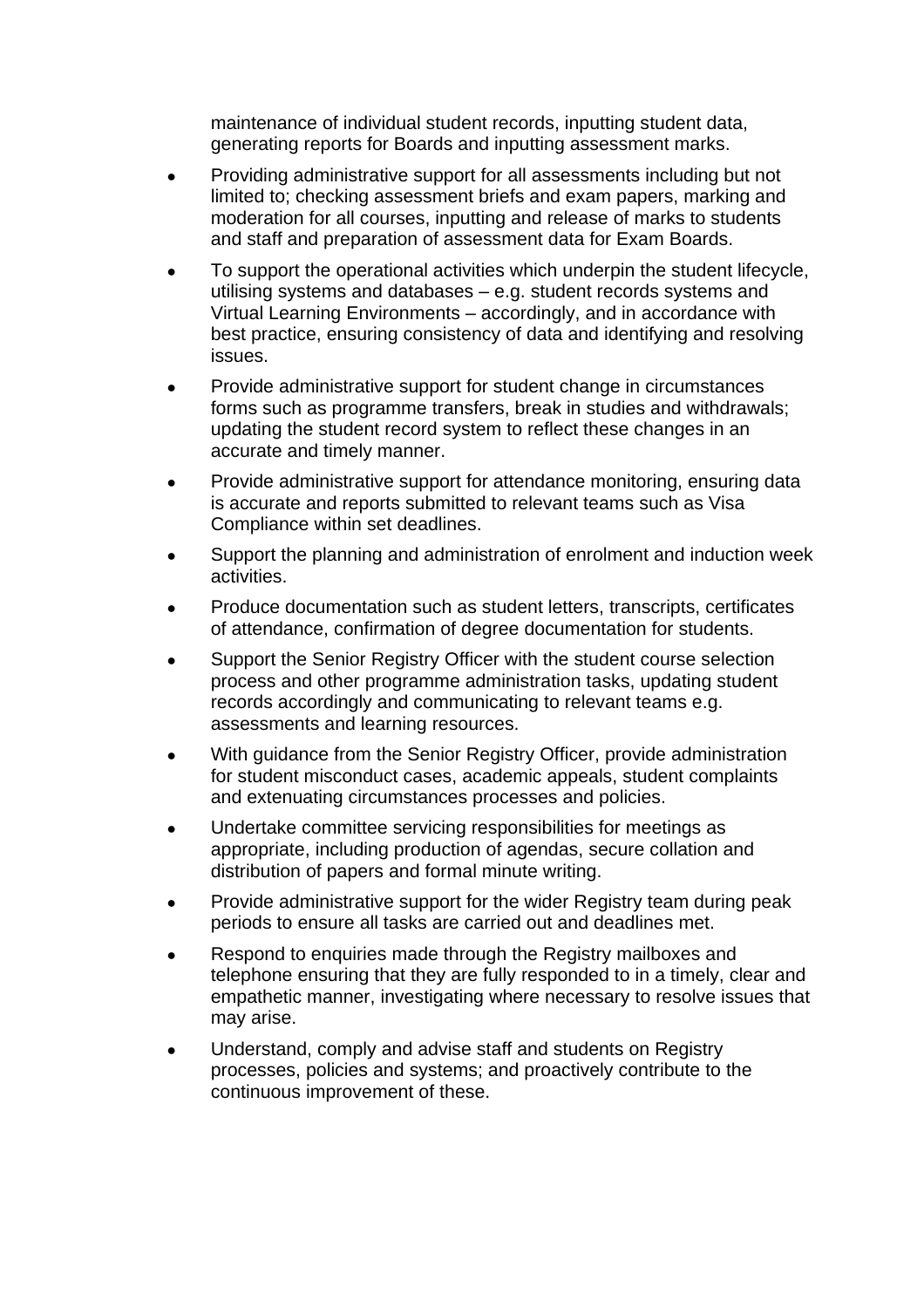maintenance of individual student records, inputting student data, generating reports for Boards and inputting assessment marks.

- Providing administrative support for all assessments including but not limited to; checking assessment briefs and exam papers, marking and moderation for all courses, inputting and release of marks to students and staff and preparation of assessment data for Exam Boards.
- To support the operational activities which underpin the student lifecycle, utilising systems and databases – e.g. student records systems and Virtual Learning Environments – accordingly, and in accordance with best practice, ensuring consistency of data and identifying and resolving issues.
- Provide administrative support for student change in circumstances forms such as programme transfers, break in studies and withdrawals; updating the student record system to reflect these changes in an accurate and timely manner.
- Provide administrative support for attendance monitoring, ensuring data is accurate and reports submitted to relevant teams such as Visa Compliance within set deadlines.
- Support the planning and administration of enrolment and induction week activities.
- Produce documentation such as student letters, transcripts, certificates of attendance, confirmation of degree documentation for students.
- Support the Senior Registry Officer with the student course selection process and other programme administration tasks, updating student records accordingly and communicating to relevant teams e.g. assessments and learning resources.
- With guidance from the Senior Registry Officer, provide administration for student misconduct cases, academic appeals, student complaints and extenuating circumstances processes and policies.
- Undertake committee servicing responsibilities for meetings as appropriate, including production of agendas, secure collation and distribution of papers and formal minute writing.
- Provide administrative support for the wider Registry team during peak periods to ensure all tasks are carried out and deadlines met.
- Respond to enquiries made through the Registry mailboxes and telephone ensuring that they are fully responded to in a timely, clear and empathetic manner, investigating where necessary to resolve issues that may arise.
- Understand, comply and advise staff and students on Registry processes, policies and systems; and proactively contribute to the continuous improvement of these.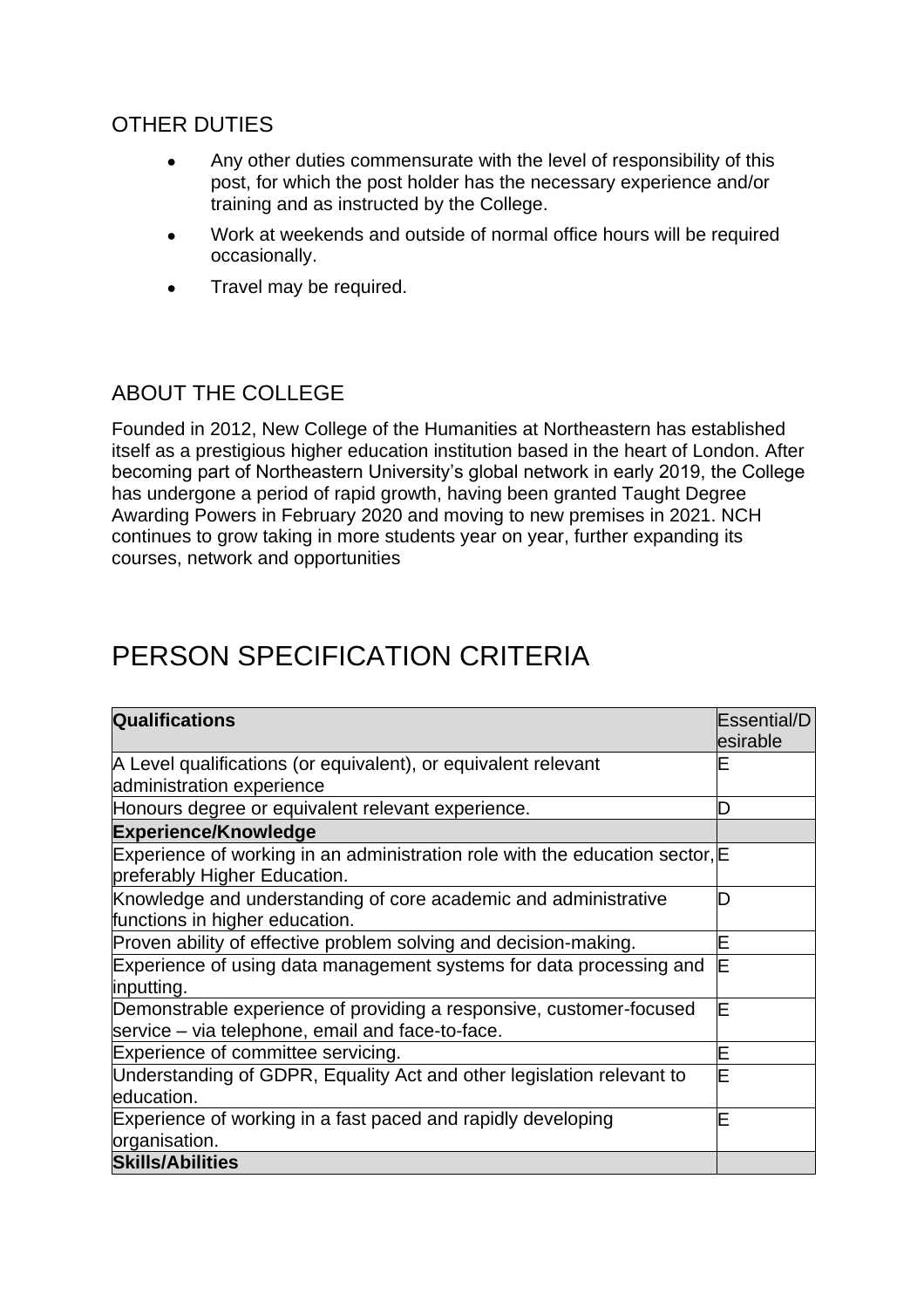### OTHER DUTIES

- Any other duties commensurate with the level of responsibility of this post, for which the post holder has the necessary experience and/or training and as instructed by the College.
- Work at weekends and outside of normal office hours will be required occasionally.
- Travel may be required.

#### ABOUT THE COLLEGE

Founded in 2012, New College of the Humanities at Northeastern has established itself as a prestigious higher education institution based in the heart of London. After becoming part of Northeastern University's global network in early 2019, the College has undergone a period of rapid growth, having been granted Taught Degree Awarding Powers in February 2020 and moving to new premises in 2021. NCH continues to grow taking in more students year on year, further expanding its courses, network and opportunities

## PERSON SPECIFICATION CRITERIA

| <b>Qualifications</b>                                                                                                   |  |  |
|-------------------------------------------------------------------------------------------------------------------------|--|--|
| A Level qualifications (or equivalent), or equivalent relevant                                                          |  |  |
| administration experience                                                                                               |  |  |
| Honours degree or equivalent relevant experience.                                                                       |  |  |
| <b>Experience/Knowledge</b>                                                                                             |  |  |
| Experience of working in an administration role with the education sector, E<br>preferably Higher Education.            |  |  |
| Knowledge and understanding of core academic and administrative<br>functions in higher education.                       |  |  |
| Proven ability of effective problem solving and decision-making.                                                        |  |  |
| Experience of using data management systems for data processing and<br>inputting.                                       |  |  |
| Demonstrable experience of providing a responsive, customer-focused<br>service – via telephone, email and face-to-face. |  |  |
| Experience of committee servicing.                                                                                      |  |  |
| Understanding of GDPR, Equality Act and other legislation relevant to<br>education.                                     |  |  |
| Experience of working in a fast paced and rapidly developing<br>organisation.                                           |  |  |
| <b>Skills/Abilities</b>                                                                                                 |  |  |